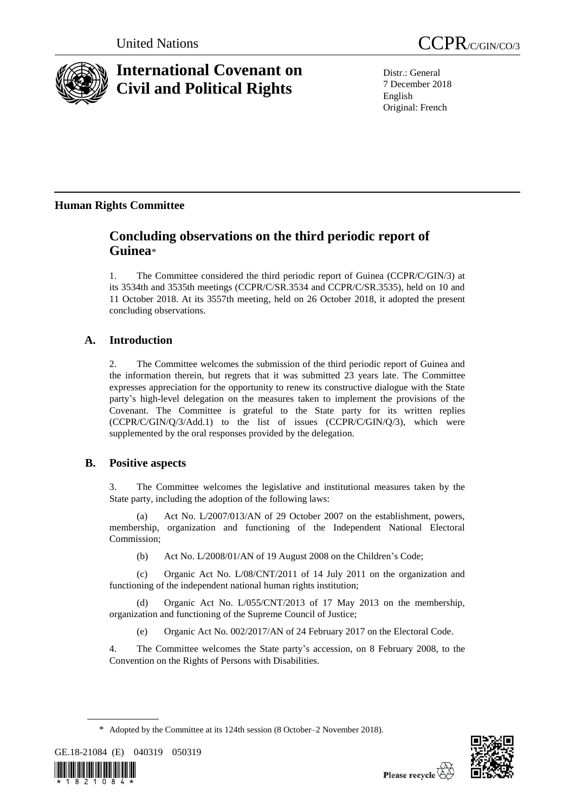

# **International Covenant on Civil and Political Rights**

Distr.: General 7 December 2018 English Original: French

## **Human Rights Committee**

## **Concluding observations on the third periodic report of Guinea**\*

1. The Committee considered the third periodic report of Guinea (CCPR/C/GIN/3) at its 3534th and 3535th meetings (CCPR/C/SR.3534 and CCPR/C/SR.3535), held on 10 and 11 October 2018. At its 3557th meeting, held on 26 October 2018, it adopted the present concluding observations.

## **A. Introduction**

2. The Committee welcomes the submission of the third periodic report of Guinea and the information therein, but regrets that it was submitted 23 years late. The Committee expresses appreciation for the opportunity to renew its constructive dialogue with the State party's high-level delegation on the measures taken to implement the provisions of the Covenant. The Committee is grateful to the State party for its written replies (CCPR/C/GIN/Q/3/Add.1) to the list of issues (CCPR/C/GIN/Q/3), which were supplemented by the oral responses provided by the delegation.

## **B. Positive aspects**

3. The Committee welcomes the legislative and institutional measures taken by the State party, including the adoption of the following laws:

(a) Act No. L/2007/013/AN of 29 October 2007 on the establishment, powers, membership, organization and functioning of the Independent National Electoral Commission;

(b) Act No. L/2008/01/AN of 19 August 2008 on the Children's Code;

(c) Organic Act No. L/08/CNT/2011 of 14 July 2011 on the organization and functioning of the independent national human rights institution;

(d) Organic Act No. L/055/CNT/2013 of 17 May 2013 on the membership, organization and functioning of the Supreme Council of Justice;

(e) Organic Act No. 002/2017/AN of 24 February 2017 on the Electoral Code.

4. The Committee welcomes the State party's accession, on 8 February 2008, to the Convention on the Rights of Persons with Disabilities.

GE.18-21084 (E) 040319 050319





<sup>\*</sup> Adopted by the Committee at its 124th session (8 October–2 November 2018).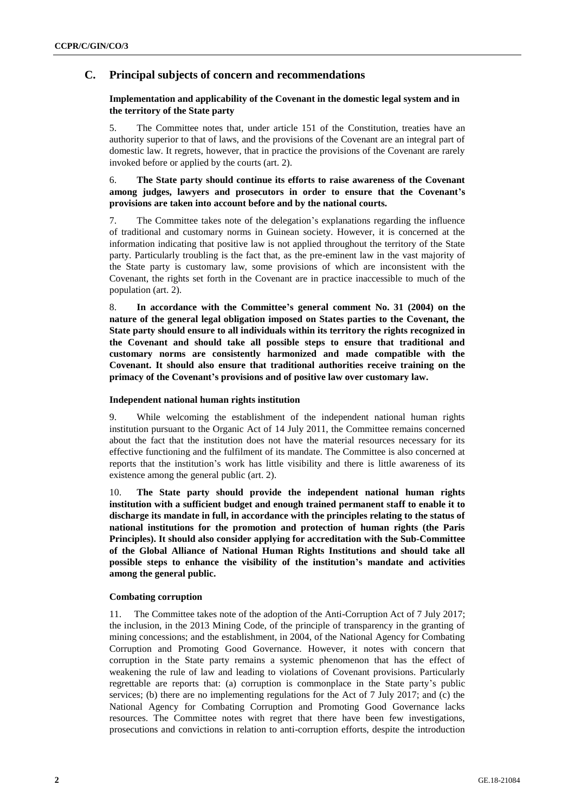## **C. Principal subjects of concern and recommendations**

## **Implementation and applicability of the Covenant in the domestic legal system and in the territory of the State party**

5. The Committee notes that, under article 151 of the Constitution, treaties have an authority superior to that of laws, and the provisions of the Covenant are an integral part of domestic law. It regrets, however, that in practice the provisions of the Covenant are rarely invoked before or applied by the courts (art. 2).

## 6. **The State party should continue its efforts to raise awareness of the Covenant among judges, lawyers and prosecutors in order to ensure that the Covenant's provisions are taken into account before and by the national courts.**

7. The Committee takes note of the delegation's explanations regarding the influence of traditional and customary norms in Guinean society. However, it is concerned at the information indicating that positive law is not applied throughout the territory of the State party. Particularly troubling is the fact that, as the pre-eminent law in the vast majority of the State party is customary law, some provisions of which are inconsistent with the Covenant, the rights set forth in the Covenant are in practice inaccessible to much of the population (art. 2).

8. **In accordance with the Committee's general comment No. 31 (2004) on the nature of the general legal obligation imposed on States parties to the Covenant, the State party should ensure to all individuals within its territory the rights recognized in the Covenant and should take all possible steps to ensure that traditional and customary norms are consistently harmonized and made compatible with the Covenant. It should also ensure that traditional authorities receive training on the primacy of the Covenant's provisions and of positive law over customary law.**

### **Independent national human rights institution**

9. While welcoming the establishment of the independent national human rights institution pursuant to the Organic Act of 14 July 2011, the Committee remains concerned about the fact that the institution does not have the material resources necessary for its effective functioning and the fulfilment of its mandate. The Committee is also concerned at reports that the institution's work has little visibility and there is little awareness of its existence among the general public (art. 2).

10. **The State party should provide the independent national human rights institution with a sufficient budget and enough trained permanent staff to enable it to discharge its mandate in full, in accordance with the principles relating to the status of national institutions for the promotion and protection of human rights (the Paris Principles). It should also consider applying for accreditation with the Sub-Committee of the Global Alliance of National Human Rights Institutions and should take all possible steps to enhance the visibility of the institution's mandate and activities among the general public.** 

### **Combating corruption**

11. The Committee takes note of the adoption of the Anti-Corruption Act of 7 July 2017; the inclusion, in the 2013 Mining Code, of the principle of transparency in the granting of mining concessions; and the establishment, in 2004, of the National Agency for Combating Corruption and Promoting Good Governance. However, it notes with concern that corruption in the State party remains a systemic phenomenon that has the effect of weakening the rule of law and leading to violations of Covenant provisions. Particularly regrettable are reports that: (a) corruption is commonplace in the State party's public services; (b) there are no implementing regulations for the Act of 7 July 2017; and (c) the National Agency for Combating Corruption and Promoting Good Governance lacks resources. The Committee notes with regret that there have been few investigations, prosecutions and convictions in relation to anti-corruption efforts, despite the introduction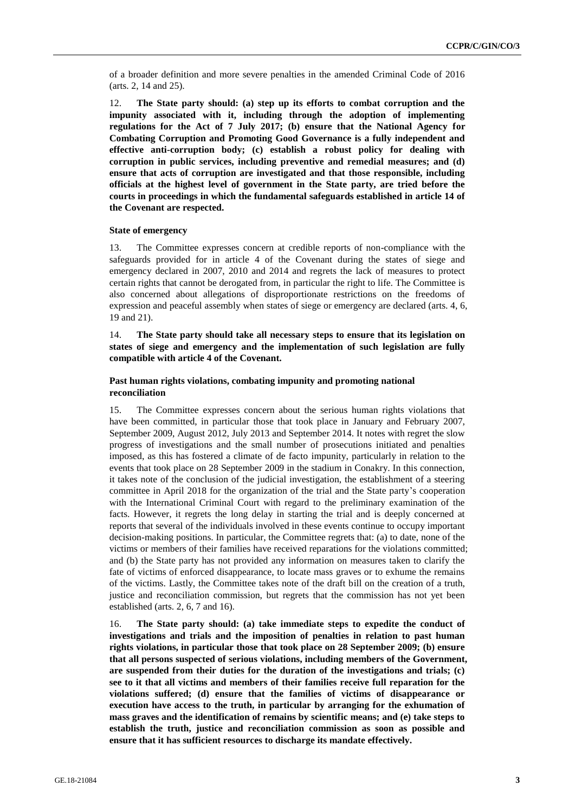of a broader definition and more severe penalties in the amended Criminal Code of 2016 (arts. 2, 14 and 25).

12. **The State party should: (a) step up its efforts to combat corruption and the impunity associated with it, including through the adoption of implementing regulations for the Act of 7 July 2017; (b) ensure that the National Agency for Combating Corruption and Promoting Good Governance is a fully independent and effective anti-corruption body; (c) establish a robust policy for dealing with corruption in public services, including preventive and remedial measures; and (d) ensure that acts of corruption are investigated and that those responsible, including officials at the highest level of government in the State party, are tried before the courts in proceedings in which the fundamental safeguards established in article 14 of the Covenant are respected.** 

#### **State of emergency**

13. The Committee expresses concern at credible reports of non-compliance with the safeguards provided for in article 4 of the Covenant during the states of siege and emergency declared in 2007, 2010 and 2014 and regrets the lack of measures to protect certain rights that cannot be derogated from, in particular the right to life. The Committee is also concerned about allegations of disproportionate restrictions on the freedoms of expression and peaceful assembly when states of siege or emergency are declared (arts. 4, 6, 19 and 21).

14. **The State party should take all necessary steps to ensure that its legislation on states of siege and emergency and the implementation of such legislation are fully compatible with article 4 of the Covenant.**

#### **Past human rights violations, combating impunity and promoting national reconciliation**

15. The Committee expresses concern about the serious human rights violations that have been committed, in particular those that took place in January and February 2007, September 2009, August 2012, July 2013 and September 2014. It notes with regret the slow progress of investigations and the small number of prosecutions initiated and penalties imposed, as this has fostered a climate of de facto impunity, particularly in relation to the events that took place on 28 September 2009 in the stadium in Conakry. In this connection, it takes note of the conclusion of the judicial investigation, the establishment of a steering committee in April 2018 for the organization of the trial and the State party's cooperation with the International Criminal Court with regard to the preliminary examination of the facts. However, it regrets the long delay in starting the trial and is deeply concerned at reports that several of the individuals involved in these events continue to occupy important decision-making positions. In particular, the Committee regrets that: (a) to date, none of the victims or members of their families have received reparations for the violations committed; and (b) the State party has not provided any information on measures taken to clarify the fate of victims of enforced disappearance, to locate mass graves or to exhume the remains of the victims. Lastly, the Committee takes note of the draft bill on the creation of a truth, justice and reconciliation commission, but regrets that the commission has not yet been established (arts. 2, 6, 7 and 16).

16. **The State party should: (a) take immediate steps to expedite the conduct of investigations and trials and the imposition of penalties in relation to past human rights violations, in particular those that took place on 28 September 2009; (b) ensure that all persons suspected of serious violations, including members of the Government, are suspended from their duties for the duration of the investigations and trials; (c) see to it that all victims and members of their families receive full reparation for the violations suffered; (d) ensure that the families of victims of disappearance or execution have access to the truth, in particular by arranging for the exhumation of mass graves and the identification of remains by scientific means; and (e) take steps to establish the truth, justice and reconciliation commission as soon as possible and ensure that it has sufficient resources to discharge its mandate effectively.**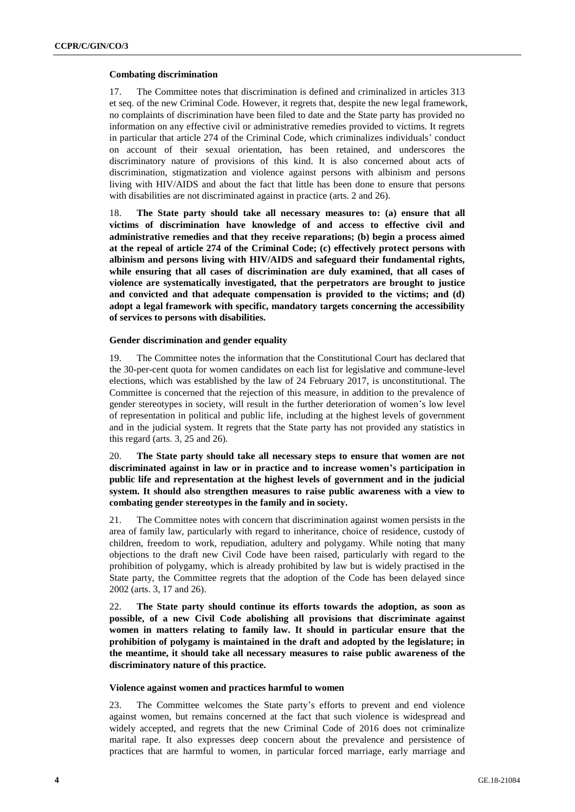#### **Combating discrimination**

17. The Committee notes that discrimination is defined and criminalized in articles 313 et seq. of the new Criminal Code. However, it regrets that, despite the new legal framework, no complaints of discrimination have been filed to date and the State party has provided no information on any effective civil or administrative remedies provided to victims. It regrets in particular that article 274 of the Criminal Code, which criminalizes individuals' conduct on account of their sexual orientation, has been retained, and underscores the discriminatory nature of provisions of this kind. It is also concerned about acts of discrimination, stigmatization and violence against persons with albinism and persons living with HIV/AIDS and about the fact that little has been done to ensure that persons with disabilities are not discriminated against in practice (arts. 2 and 26).

18. **The State party should take all necessary measures to: (a) ensure that all victims of discrimination have knowledge of and access to effective civil and administrative remedies and that they receive reparations; (b) begin a process aimed at the repeal of article 274 of the Criminal Code; (c) effectively protect persons with albinism and persons living with HIV/AIDS and safeguard their fundamental rights, while ensuring that all cases of discrimination are duly examined, that all cases of violence are systematically investigated, that the perpetrators are brought to justice and convicted and that adequate compensation is provided to the victims; and (d) adopt a legal framework with specific, mandatory targets concerning the accessibility of services to persons with disabilities.**

#### **Gender discrimination and gender equality**

19. The Committee notes the information that the Constitutional Court has declared that the 30-per-cent quota for women candidates on each list for legislative and commune-level elections, which was established by the law of 24 February 2017, is unconstitutional. The Committee is concerned that the rejection of this measure, in addition to the prevalence of gender stereotypes in society, will result in the further deterioration of women's low level of representation in political and public life, including at the highest levels of government and in the judicial system. It regrets that the State party has not provided any statistics in this regard (arts. 3, 25 and 26).

20. **The State party should take all necessary steps to ensure that women are not discriminated against in law or in practice and to increase women's participation in public life and representation at the highest levels of government and in the judicial system. It should also strengthen measures to raise public awareness with a view to combating gender stereotypes in the family and in society.**

21. The Committee notes with concern that discrimination against women persists in the area of family law, particularly with regard to inheritance, choice of residence, custody of children, freedom to work, repudiation, adultery and polygamy. While noting that many objections to the draft new Civil Code have been raised, particularly with regard to the prohibition of polygamy, which is already prohibited by law but is widely practised in the State party, the Committee regrets that the adoption of the Code has been delayed since 2002 (arts. 3, 17 and 26).

22. **The State party should continue its efforts towards the adoption, as soon as possible, of a new Civil Code abolishing all provisions that discriminate against women in matters relating to family law. It should in particular ensure that the prohibition of polygamy is maintained in the draft and adopted by the legislature; in the meantime, it should take all necessary measures to raise public awareness of the discriminatory nature of this practice.**

#### **Violence against women and practices harmful to women**

23. The Committee welcomes the State party's efforts to prevent and end violence against women, but remains concerned at the fact that such violence is widespread and widely accepted, and regrets that the new Criminal Code of 2016 does not criminalize marital rape. It also expresses deep concern about the prevalence and persistence of practices that are harmful to women, in particular forced marriage, early marriage and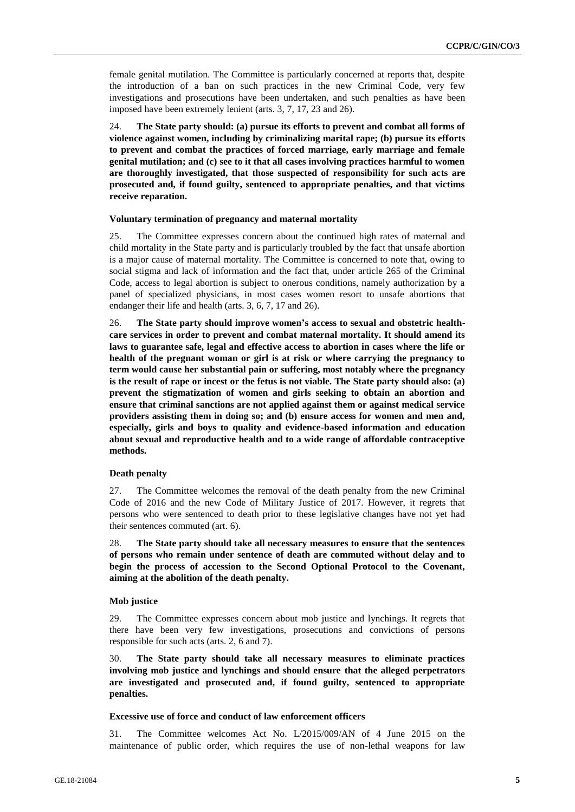female genital mutilation. The Committee is particularly concerned at reports that, despite the introduction of a ban on such practices in the new Criminal Code, very few investigations and prosecutions have been undertaken, and such penalties as have been imposed have been extremely lenient (arts. 3, 7, 17, 23 and 26).

24. **The State party should: (a) pursue its efforts to prevent and combat all forms of violence against women, including by criminalizing marital rape; (b) pursue its efforts to prevent and combat the practices of forced marriage, early marriage and female genital mutilation; and (c) see to it that all cases involving practices harmful to women are thoroughly investigated, that those suspected of responsibility for such acts are prosecuted and, if found guilty, sentenced to appropriate penalties, and that victims receive reparation.** 

#### **Voluntary termination of pregnancy and maternal mortality**

25. The Committee expresses concern about the continued high rates of maternal and child mortality in the State party and is particularly troubled by the fact that unsafe abortion is a major cause of maternal mortality. The Committee is concerned to note that, owing to social stigma and lack of information and the fact that, under article 265 of the Criminal Code, access to legal abortion is subject to onerous conditions, namely authorization by a panel of specialized physicians, in most cases women resort to unsafe abortions that endanger their life and health (arts. 3, 6, 7, 17 and 26).

26. **The State party should improve women's access to sexual and obstetric healthcare services in order to prevent and combat maternal mortality. It should amend its laws to guarantee safe, legal and effective access to abortion in cases where the life or health of the pregnant woman or girl is at risk or where carrying the pregnancy to term would cause her substantial pain or suffering, most notably where the pregnancy is the result of rape or incest or the fetus is not viable. The State party should also: (a) prevent the stigmatization of women and girls seeking to obtain an abortion and ensure that criminal sanctions are not applied against them or against medical service providers assisting them in doing so; and (b) ensure access for women and men and, especially, girls and boys to quality and evidence-based information and education about sexual and reproductive health and to a wide range of affordable contraceptive methods.**

#### **Death penalty**

27. The Committee welcomes the removal of the death penalty from the new Criminal Code of 2016 and the new Code of Military Justice of 2017. However, it regrets that persons who were sentenced to death prior to these legislative changes have not yet had their sentences commuted (art. 6).

28. **The State party should take all necessary measures to ensure that the sentences of persons who remain under sentence of death are commuted without delay and to begin the process of accession to the Second Optional Protocol to the Covenant, aiming at the abolition of the death penalty.**

#### **Mob justice**

29. The Committee expresses concern about mob justice and lynchings. It regrets that there have been very few investigations, prosecutions and convictions of persons responsible for such acts (arts. 2, 6 and 7).

30. **The State party should take all necessary measures to eliminate practices involving mob justice and lynchings and should ensure that the alleged perpetrators are investigated and prosecuted and, if found guilty, sentenced to appropriate penalties.**

#### **Excessive use of force and conduct of law enforcement officers**

31. The Committee welcomes Act No. L/2015/009/AN of 4 June 2015 on the maintenance of public order, which requires the use of non-lethal weapons for law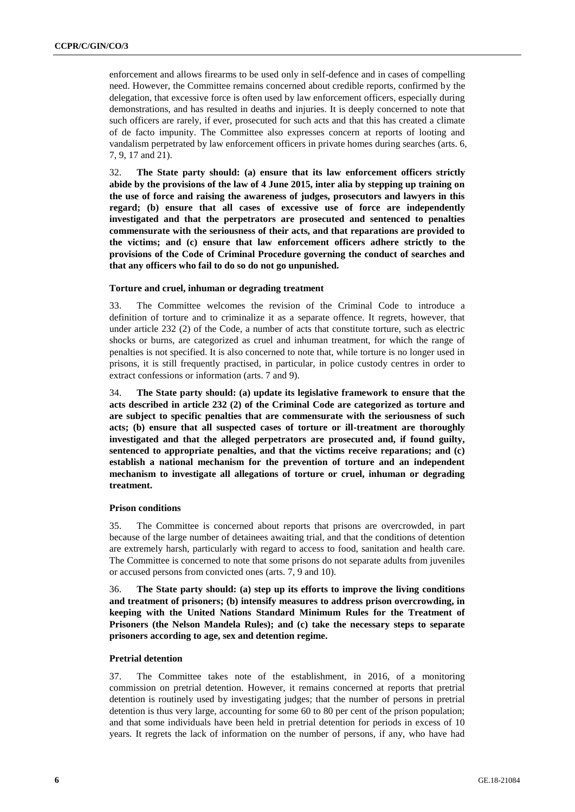enforcement and allows firearms to be used only in self-defence and in cases of compelling need. However, the Committee remains concerned about credible reports, confirmed by the delegation, that excessive force is often used by law enforcement officers, especially during demonstrations, and has resulted in deaths and injuries. It is deeply concerned to note that such officers are rarely, if ever, prosecuted for such acts and that this has created a climate of de facto impunity. The Committee also expresses concern at reports of looting and vandalism perpetrated by law enforcement officers in private homes during searches (arts. 6, 7, 9, 17 and 21).

32. **The State party should: (a) ensure that its law enforcement officers strictly abide by the provisions of the law of 4 June 2015, inter alia by stepping up training on the use of force and raising the awareness of judges, prosecutors and lawyers in this regard; (b) ensure that all cases of excessive use of force are independently investigated and that the perpetrators are prosecuted and sentenced to penalties commensurate with the seriousness of their acts, and that reparations are provided to the victims; and (c) ensure that law enforcement officers adhere strictly to the provisions of the Code of Criminal Procedure governing the conduct of searches and that any officers who fail to do so do not go unpunished.** 

#### **Torture and cruel, inhuman or degrading treatment**

33. The Committee welcomes the revision of the Criminal Code to introduce a definition of torture and to criminalize it as a separate offence. It regrets, however, that under article 232 (2) of the Code, a number of acts that constitute torture, such as electric shocks or burns, are categorized as cruel and inhuman treatment, for which the range of penalties is not specified. It is also concerned to note that, while torture is no longer used in prisons, it is still frequently practised, in particular, in police custody centres in order to extract confessions or information (arts. 7 and 9).

34. **The State party should: (a) update its legislative framework to ensure that the acts described in article 232 (2) of the Criminal Code are categorized as torture and are subject to specific penalties that are commensurate with the seriousness of such acts; (b) ensure that all suspected cases of torture or ill-treatment are thoroughly investigated and that the alleged perpetrators are prosecuted and, if found guilty, sentenced to appropriate penalties, and that the victims receive reparations; and (c) establish a national mechanism for the prevention of torture and an independent mechanism to investigate all allegations of torture or cruel, inhuman or degrading treatment.**

#### **Prison conditions**

35. The Committee is concerned about reports that prisons are overcrowded, in part because of the large number of detainees awaiting trial, and that the conditions of detention are extremely harsh, particularly with regard to access to food, sanitation and health care. The Committee is concerned to note that some prisons do not separate adults from juveniles or accused persons from convicted ones (arts. 7, 9 and 10).

36. **The State party should: (a) step up its efforts to improve the living conditions and treatment of prisoners; (b) intensify measures to address prison overcrowding, in keeping with the United Nations Standard Minimum Rules for the Treatment of Prisoners (the Nelson Mandela Rules); and (c) take the necessary steps to separate prisoners according to age, sex and detention regime.**

### **Pretrial detention**

37. The Committee takes note of the establishment, in 2016, of a monitoring commission on pretrial detention. However, it remains concerned at reports that pretrial detention is routinely used by investigating judges; that the number of persons in pretrial detention is thus very large, accounting for some 60 to 80 per cent of the prison population; and that some individuals have been held in pretrial detention for periods in excess of 10 years. It regrets the lack of information on the number of persons, if any, who have had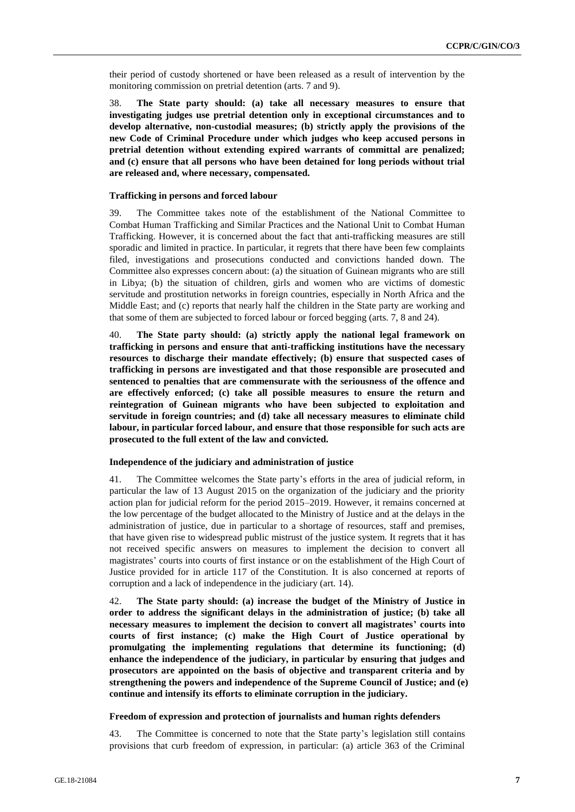their period of custody shortened or have been released as a result of intervention by the monitoring commission on pretrial detention (arts. 7 and 9).

38. **The State party should: (a) take all necessary measures to ensure that investigating judges use pretrial detention only in exceptional circumstances and to develop alternative, non-custodial measures; (b) strictly apply the provisions of the new Code of Criminal Procedure under which judges who keep accused persons in pretrial detention without extending expired warrants of committal are penalized; and (c) ensure that all persons who have been detained for long periods without trial are released and, where necessary, compensated.**

#### **Trafficking in persons and forced labour**

39. The Committee takes note of the establishment of the National Committee to Combat Human Trafficking and Similar Practices and the National Unit to Combat Human Trafficking. However, it is concerned about the fact that anti-trafficking measures are still sporadic and limited in practice. In particular, it regrets that there have been few complaints filed, investigations and prosecutions conducted and convictions handed down. The Committee also expresses concern about: (a) the situation of Guinean migrants who are still in Libya; (b) the situation of children, girls and women who are victims of domestic servitude and prostitution networks in foreign countries, especially in North Africa and the Middle East; and (c) reports that nearly half the children in the State party are working and that some of them are subjected to forced labour or forced begging (arts. 7, 8 and 24).

40. **The State party should: (a) strictly apply the national legal framework on trafficking in persons and ensure that anti-trafficking institutions have the necessary resources to discharge their mandate effectively; (b) ensure that suspected cases of trafficking in persons are investigated and that those responsible are prosecuted and sentenced to penalties that are commensurate with the seriousness of the offence and are effectively enforced; (c) take all possible measures to ensure the return and reintegration of Guinean migrants who have been subjected to exploitation and servitude in foreign countries; and (d) take all necessary measures to eliminate child labour, in particular forced labour, and ensure that those responsible for such acts are prosecuted to the full extent of the law and convicted.**

#### **Independence of the judiciary and administration of justice**

41. The Committee welcomes the State party's efforts in the area of judicial reform, in particular the law of 13 August 2015 on the organization of the judiciary and the priority action plan for judicial reform for the period 2015–2019. However, it remains concerned at the low percentage of the budget allocated to the Ministry of Justice and at the delays in the administration of justice, due in particular to a shortage of resources, staff and premises, that have given rise to widespread public mistrust of the justice system. It regrets that it has not received specific answers on measures to implement the decision to convert all magistrates' courts into courts of first instance or on the establishment of the High Court of Justice provided for in article 117 of the Constitution. It is also concerned at reports of corruption and a lack of independence in the judiciary (art. 14).

42. **The State party should: (a) increase the budget of the Ministry of Justice in order to address the significant delays in the administration of justice; (b) take all necessary measures to implement the decision to convert all magistrates' courts into courts of first instance; (c) make the High Court of Justice operational by promulgating the implementing regulations that determine its functioning; (d) enhance the independence of the judiciary, in particular by ensuring that judges and prosecutors are appointed on the basis of objective and transparent criteria and by strengthening the powers and independence of the Supreme Council of Justice; and (e) continue and intensify its efforts to eliminate corruption in the judiciary.**

#### **Freedom of expression and protection of journalists and human rights defenders**

43. The Committee is concerned to note that the State party's legislation still contains provisions that curb freedom of expression, in particular: (a) article 363 of the Criminal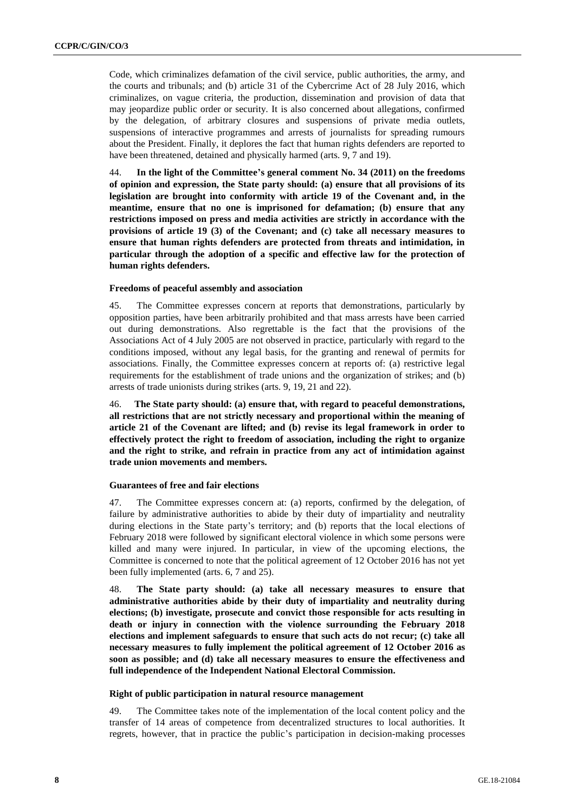Code, which criminalizes defamation of the civil service, public authorities, the army, and the courts and tribunals; and (b) article 31 of the Cybercrime Act of 28 July 2016, which criminalizes, on vague criteria, the production, dissemination and provision of data that may jeopardize public order or security. It is also concerned about allegations, confirmed by the delegation, of arbitrary closures and suspensions of private media outlets, suspensions of interactive programmes and arrests of journalists for spreading rumours about the President. Finally, it deplores the fact that human rights defenders are reported to have been threatened, detained and physically harmed (arts. 9, 7 and 19).

44. **In the light of the Committee's general comment No. 34 (2011) on the freedoms of opinion and expression, the State party should: (a) ensure that all provisions of its legislation are brought into conformity with article 19 of the Covenant and, in the meantime, ensure that no one is imprisoned for defamation; (b) ensure that any restrictions imposed on press and media activities are strictly in accordance with the provisions of article 19 (3) of the Covenant; and (c) take all necessary measures to ensure that human rights defenders are protected from threats and intimidation, in particular through the adoption of a specific and effective law for the protection of human rights defenders.**

#### **Freedoms of peaceful assembly and association**

45. The Committee expresses concern at reports that demonstrations, particularly by opposition parties, have been arbitrarily prohibited and that mass arrests have been carried out during demonstrations. Also regrettable is the fact that the provisions of the Associations Act of 4 July 2005 are not observed in practice, particularly with regard to the conditions imposed, without any legal basis, for the granting and renewal of permits for associations. Finally, the Committee expresses concern at reports of: (a) restrictive legal requirements for the establishment of trade unions and the organization of strikes; and (b) arrests of trade unionists during strikes (arts. 9, 19, 21 and 22).

46. **The State party should: (a) ensure that, with regard to peaceful demonstrations, all restrictions that are not strictly necessary and proportional within the meaning of article 21 of the Covenant are lifted; and (b) revise its legal framework in order to effectively protect the right to freedom of association, including the right to organize and the right to strike, and refrain in practice from any act of intimidation against trade union movements and members.**

#### **Guarantees of free and fair elections**

47. The Committee expresses concern at: (a) reports, confirmed by the delegation, of failure by administrative authorities to abide by their duty of impartiality and neutrality during elections in the State party's territory; and (b) reports that the local elections of February 2018 were followed by significant electoral violence in which some persons were killed and many were injured. In particular, in view of the upcoming elections, the Committee is concerned to note that the political agreement of 12 October 2016 has not yet been fully implemented (arts. 6, 7 and 25).

48. **The State party should: (a) take all necessary measures to ensure that administrative authorities abide by their duty of impartiality and neutrality during elections; (b) investigate, prosecute and convict those responsible for acts resulting in death or injury in connection with the violence surrounding the February 2018 elections and implement safeguards to ensure that such acts do not recur; (c) take all necessary measures to fully implement the political agreement of 12 October 2016 as soon as possible; and (d) take all necessary measures to ensure the effectiveness and full independence of the Independent National Electoral Commission.**

#### **Right of public participation in natural resource management**

49. The Committee takes note of the implementation of the local content policy and the transfer of 14 areas of competence from decentralized structures to local authorities. It regrets, however, that in practice the public's participation in decision-making processes